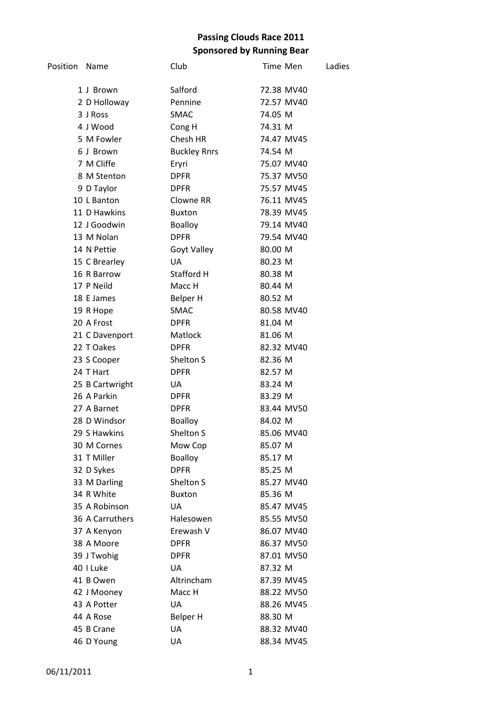| Position | Name            | Club                | Time Men   | Ladies |
|----------|-----------------|---------------------|------------|--------|
|          |                 |                     |            |        |
|          | 1 J Brown       | Salford             | 72.38 MV40 |        |
|          | 2 D Holloway    | Pennine             | 72.57 MV40 |        |
|          | 3 J Ross        | <b>SMAC</b>         | 74.05 M    |        |
|          | 4 J Wood        | Cong H              | 74.31 M    |        |
|          | 5 M Fowler      | Chesh HR            | 74.47 MV45 |        |
|          | 6 J Brown       | <b>Buckley Rnrs</b> | 74.54 M    |        |
|          | 7 M Cliffe      | Eryri               | 75.07 MV40 |        |
|          | 8 M Stenton     | <b>DPFR</b>         | 75.37 MV50 |        |
|          | 9 D Taylor      | <b>DPFR</b>         | 75.57 MV45 |        |
|          | 10 L Banton     | Clowne RR           | 76.11 MV45 |        |
|          | 11 D Hawkins    | <b>Buxton</b>       | 78.39 MV45 |        |
|          | 12 J Goodwin    | <b>Boalloy</b>      | 79.14 MV40 |        |
|          | 13 M Nolan      | <b>DPFR</b>         | 79.54 MV40 |        |
|          | 14 N Pettie     | Goyt Valley         | 80.00 M    |        |
|          | 15 C Brearley   | <b>UA</b>           | 80.23 M    |        |
|          | 16 R Barrow     | Stafford H          | 80.38 M    |        |
|          | 17 P Neild      | Macc H              | 80.44 M    |        |
|          | 18 E James      | Belper H            | 80.52 M    |        |
|          | 19 R Hope       | <b>SMAC</b>         | 80.58 MV40 |        |
|          | 20 A Frost      | <b>DPFR</b>         | 81.04 M    |        |
|          | 21 C Davenport  | Matlock             | 81.06 M    |        |
|          | 22 T Oakes      | <b>DPFR</b>         | 82.32 MV40 |        |
|          | 23 S Cooper     | Shelton S           | 82.36 M    |        |
|          | 24 T Hart       | <b>DPFR</b>         | 82.57 M    |        |
|          | 25 B Cartwright | UA                  | 83.24 M    |        |
|          | 26 A Parkin     | <b>DPFR</b>         | 83.29 M    |        |
|          | 27 A Barnet     | <b>DPFR</b>         | 83.44 MV50 |        |
|          | 28 D Windsor    | <b>Boalloy</b>      | 84.02 M    |        |
|          | 29 S Hawkins    | Shelton S           | 85.06 MV40 |        |
|          | 30 M Cornes     | Mow Cop             | 85.07 M    |        |
|          | 31 T Miller     | <b>Boalloy</b>      | 85.17 M    |        |
|          | 32 D Sykes      | <b>DPFR</b>         | 85.25 M    |        |
|          | 33 M Darling    | Shelton S           | 85.27 MV40 |        |
|          | 34 R White      | <b>Buxton</b>       | 85.36 M    |        |
|          | 35 A Robinson   | <b>UA</b>           | 85.47 MV45 |        |
|          | 36 A Carruthers | Halesowen           | 85.55 MV50 |        |
|          | 37 A Kenyon     | Erewash V           | 86.07 MV40 |        |
|          | 38 A Moore      | <b>DPFR</b>         | 86.37 MV50 |        |
|          | 39 J Twohig     | <b>DPFR</b>         | 87.01 MV50 |        |
|          | 40 I Luke       | UA                  | 87.32 M    |        |
|          | 41 B Owen       | Altrincham          | 87.39 MV45 |        |
|          | 42 J Mooney     | Macc H              | 88.22 MV50 |        |
|          | 43 A Potter     | UA                  | 88.26 MV45 |        |
|          | 44 A Rose       | Belper H            | 88.30 M    |        |
|          | 45 B Crane      | UA                  | 88.32 MV40 |        |
|          | 46 D Young      | UA                  | 88.34 MV45 |        |
|          |                 |                     |            |        |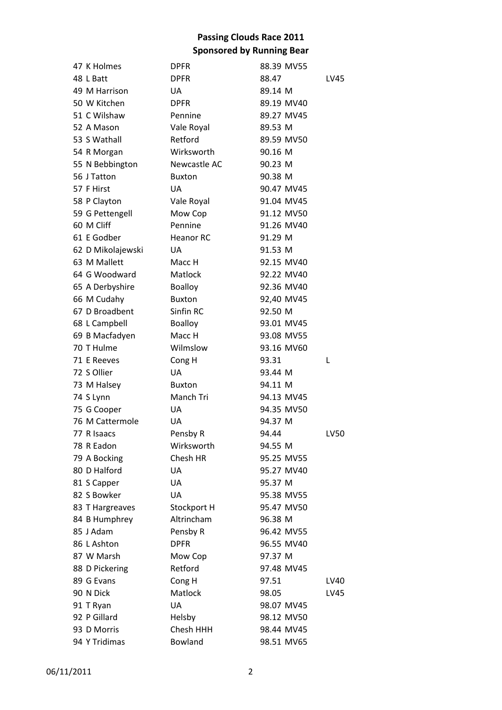| 47 K Holmes       | <b>DPFR</b>              | 88.39 MV55 |             |
|-------------------|--------------------------|------------|-------------|
| 48 L Batt         | <b>DPFR</b>              | 88.47      | LV45        |
| 49 M Harrison     | UA                       | 89.14 M    |             |
| 50 W Kitchen      | <b>DPFR</b>              | 89.19 MV40 |             |
| 51 C Wilshaw      | Pennine                  | 89.27 MV45 |             |
| 52 A Mason        | Vale Royal               | 89.53 M    |             |
| 53 S Wathall      | Retford                  | 89.59 MV50 |             |
| 54 R Morgan       | Wirksworth               | 90.16 M    |             |
| 55 N Bebbington   | Newcastle AC             | 90.23 M    |             |
| 56 J Tatton       | <b>Buxton</b>            | 90.38 M    |             |
| 57 F Hirst        | UA                       | 90.47 MV45 |             |
| 58 P Clayton      | Vale Royal               | 91.04 MV45 |             |
| 59 G Pettengell   | Mow Cop                  | 91.12 MV50 |             |
| 60 M Cliff        | Pennine                  | 91.26 MV40 |             |
| 61 E Godber       | <b>Heanor RC</b>         | 91.29 M    |             |
| 62 D Mikolajewski | UA                       | 91.53 M    |             |
| 63 M Mallett      | Macc H                   | 92.15 MV40 |             |
| 64 G Woodward     | Matlock                  | 92.22 MV40 |             |
|                   |                          | 92.36 MV40 |             |
| 65 A Derbyshire   | Boalloy<br><b>Buxton</b> |            |             |
| 66 M Cudahy       |                          | 92,40 MV45 |             |
| 67 D Broadbent    | Sinfin RC                | 92.50 M    |             |
| 68 L Campbell     | <b>Boalloy</b>           | 93.01 MV45 |             |
| 69 B Macfadyen    | Macc H                   | 93.08 MV55 |             |
| 70 T Hulme        | Wilmslow                 | 93.16 MV60 |             |
| 71 E Reeves       | Cong H                   | 93.31      | L           |
| 72 S Ollier       | UA                       | 93.44 M    |             |
| 73 M Halsey       | <b>Buxton</b>            | 94.11 M    |             |
| 74 S Lynn         | Manch Tri                | 94.13 MV45 |             |
| 75 G Cooper       | UA                       | 94.35 MV50 |             |
| 76 M Cattermole   | UA                       | 94.37 M    |             |
| 77 R Isaacs       | Pensby R                 | 94.44      | <b>LV50</b> |
| 78 R Eadon        | Wirksworth               | 94.55 M    |             |
| 79 A Bocking      | Chesh HR                 | 95.25 MV55 |             |
| 80 D Halford      | UA                       | 95.27 MV40 |             |
| 81 S Capper       | UA                       | 95.37 M    |             |
| 82 S Bowker       | <b>UA</b>                | 95.38 MV55 |             |
| 83 T Hargreaves   | Stockport H              | 95.47 MV50 |             |
| 84 B Humphrey     | Altrincham               | 96.38 M    |             |
| 85 J Adam         | Pensby R                 | 96.42 MV55 |             |
| 86 L Ashton       | <b>DPFR</b>              | 96.55 MV40 |             |
| 87 W Marsh        | Mow Cop                  | 97.37 M    |             |
| 88 D Pickering    | Retford                  | 97.48 MV45 |             |
| 89 G Evans        | Cong H                   | 97.51      | LV40        |
| 90 N Dick         | Matlock                  | 98.05      | LV45        |
| 91 T Ryan         | UA                       | 98.07 MV45 |             |
| 92 P Gillard      | Helsby                   | 98.12 MV50 |             |
| 93 D Morris       | Chesh HHH                | 98.44 MV45 |             |
| 94 Y Tridimas     | Bowland                  | 98.51 MV65 |             |
|                   |                          |            |             |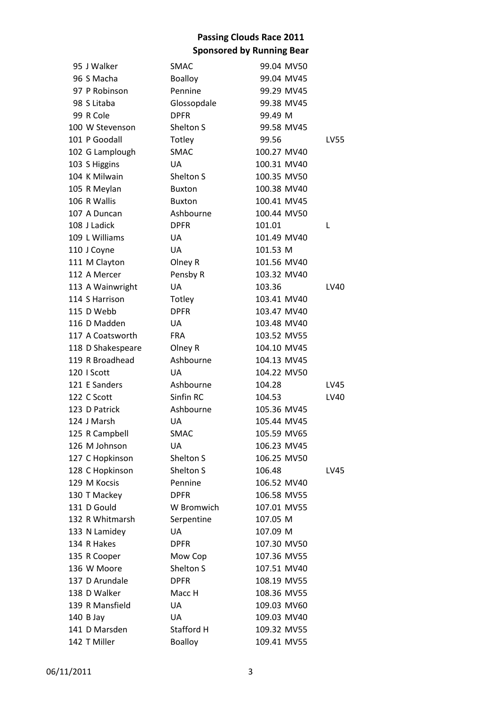| 95 J Walker       | <b>SMAC</b>    | 99.04 MV50  |      |
|-------------------|----------------|-------------|------|
| 96 S Macha        | Boalloy        | 99.04 MV45  |      |
| 97 P Robinson     | Pennine        | 99.29 MV45  |      |
| 98 S Litaba       | Glossopdale    | 99.38 MV45  |      |
| 99 R Cole         | <b>DPFR</b>    | 99.49 M     |      |
| 100 W Stevenson   | Shelton S      | 99.58 MV45  |      |
| 101 P Goodall     | Totley         | 99.56       | LV55 |
| 102 G Lamplough   | <b>SMAC</b>    | 100.27 MV40 |      |
| 103 S Higgins     | <b>UA</b>      | 100.31 MV40 |      |
| 104 K Milwain     | Shelton S      | 100.35 MV50 |      |
| 105 R Meylan      | <b>Buxton</b>  | 100.38 MV40 |      |
| 106 R Wallis      | <b>Buxton</b>  | 100.41 MV45 |      |
| 107 A Duncan      | Ashbourne      | 100.44 MV50 |      |
| 108 J Ladick      | <b>DPFR</b>    | 101.01      | L    |
| 109 L Williams    | UA             | 101.49 MV40 |      |
| 110 J Coyne       | <b>UA</b>      | 101.53 M    |      |
| 111 M Clayton     | Olney R        | 101.56 MV40 |      |
| 112 A Mercer      | Pensby R       | 103.32 MV40 |      |
| 113 A Wainwright  | UA             | 103.36      | LV40 |
| 114 S Harrison    | Totley         | 103.41 MV40 |      |
|                   |                |             |      |
| 115 D Webb        | <b>DPFR</b>    | 103.47 MV40 |      |
| 116 D Madden      | UA             | 103.48 MV40 |      |
| 117 A Coatsworth  | <b>FRA</b>     | 103.52 MV55 |      |
| 118 D Shakespeare | Olney R        | 104.10 MV45 |      |
| 119 R Broadhead   | Ashbourne      | 104.13 MV45 |      |
| 120   Scott       | UA             | 104.22 MV50 |      |
| 121 E Sanders     | Ashbourne      | 104.28      | LV45 |
| 122 C Scott       | Sinfin RC      | 104.53      | LV40 |
| 123 D Patrick     | Ashbourne      | 105.36 MV45 |      |
| 124 J Marsh       | UA             | 105.44 MV45 |      |
| 125 R Campbell    | SMAC           | 105.59 MV65 |      |
| 126 M Johnson     | UA             | 106.23 MV45 |      |
| 127 C Hopkinson   | Shelton S      | 106.25 MV50 |      |
| 128 C Hopkinson   | Shelton S      | 106.48      | LV45 |
| 129 M Kocsis      | Pennine        | 106.52 MV40 |      |
| 130 T Mackey      | <b>DPFR</b>    | 106.58 MV55 |      |
| 131 D Gould       | W Bromwich     | 107.01 MV55 |      |
| 132 R Whitmarsh   | Serpentine     | 107.05 M    |      |
| 133 N Lamidey     | UA             | 107.09 M    |      |
| 134 R Hakes       | <b>DPFR</b>    | 107.30 MV50 |      |
| 135 R Cooper      | Mow Cop        | 107.36 MV55 |      |
| 136 W Moore       | Shelton S      | 107.51 MV40 |      |
| 137 D Arundale    | <b>DPFR</b>    | 108.19 MV55 |      |
| 138 D Walker      | Macc H         | 108.36 MV55 |      |
| 139 R Mansfield   | UA             | 109.03 MV60 |      |
| 140 B Jay         | UA             | 109.03 MV40 |      |
| 141 D Marsden     | Stafford H     | 109.32 MV55 |      |
| 142 T Miller      | <b>Boalloy</b> | 109.41 MV55 |      |